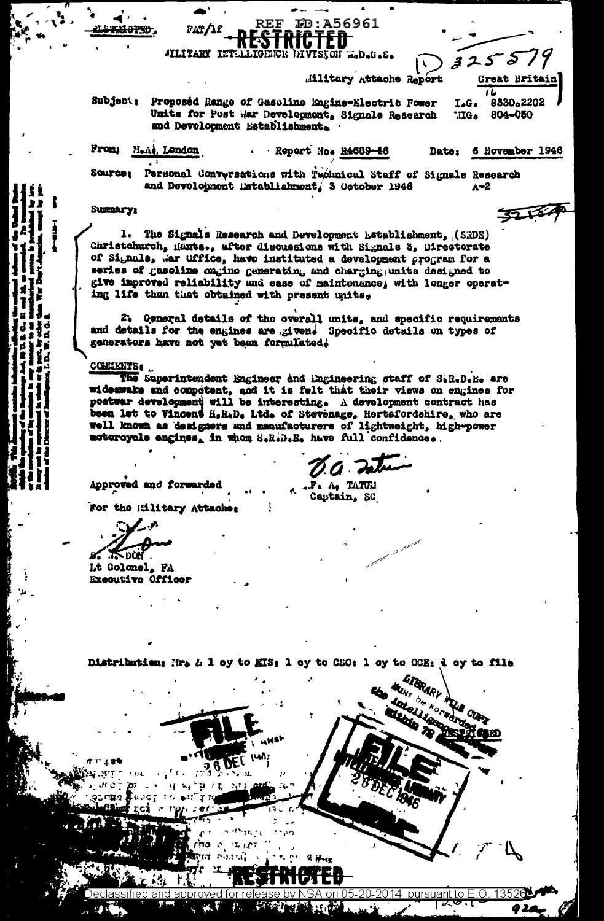|                 | AILITARY INTELLIGENCE DIVISION WOD.G.S.                                                                                                |                    | 325579               |  |
|-----------------|----------------------------------------------------------------------------------------------------------------------------------------|--------------------|----------------------|--|
|                 | <b>Military Attache Report</b>                                                                                                         |                    | Great Britain        |  |
| Subject:        | Proposéd Rango of Gasoline Engine-Electric Fower<br>Units for Post War Development, Signals Research<br>and Development Establishment. | I.G.<br><b>IIG</b> | 8330.2202<br>804-050 |  |
| From:           | M.A., London<br>· Report Mo. R4689-46                                                                                                  | Date:              | 6 November 1946      |  |
| <b>Source:</b>  | Personal Conversations with Technical Staff of Signals Research<br>and Development Establishment, 3 October 1946                       |                    | 4~2                  |  |
| <b>Summary:</b> |                                                                                                                                        |                    |                      |  |
| l.              | The Signals Research and Development Latablishment, (SRDE)                                                                             |                    |                      |  |

**ID:A56961** 

7 እኑጸ 7 F F

**REF** 

FAT/1f

Christohurch, Hants., after discussions with Signals 3, Directorate of Signals, War Office, have instituted a development program for a series of gasoline engino generating and charging units designed to give improved reliability and ease of maintenance, with longer operating life than that obtained with present unitse

2. General details of the overall units, and specific requirements and details for the engines are givend Specific details on types of generators have not yet been formulated.

COMMENTS.

The Superintendent Engineer and Engineering staff of SiR.D.E. are widearake and competent, and it is felt that their views on engines for postwar development will be interesting. A development contract has been let to Vincent H.R.D. Ltd. of Stevenage, Hertsfordshire, who are well known as designers and manufacturers of lightweight, high-power motoroyole engines, in whom S.R.D.E. have full confidence.

Approved and forwarded

a ...P. A. TATUM

Captain, SC

For the Military Attaches

 $T > 0$  on

Lt Colonel, FA Executive Officer



Distribution: Nr. & 1 oy to MIS: 1 oy to CSO: 1 oy to OCE: 1 oy to file

pursuant to E fied and approved for |ズ 经主义者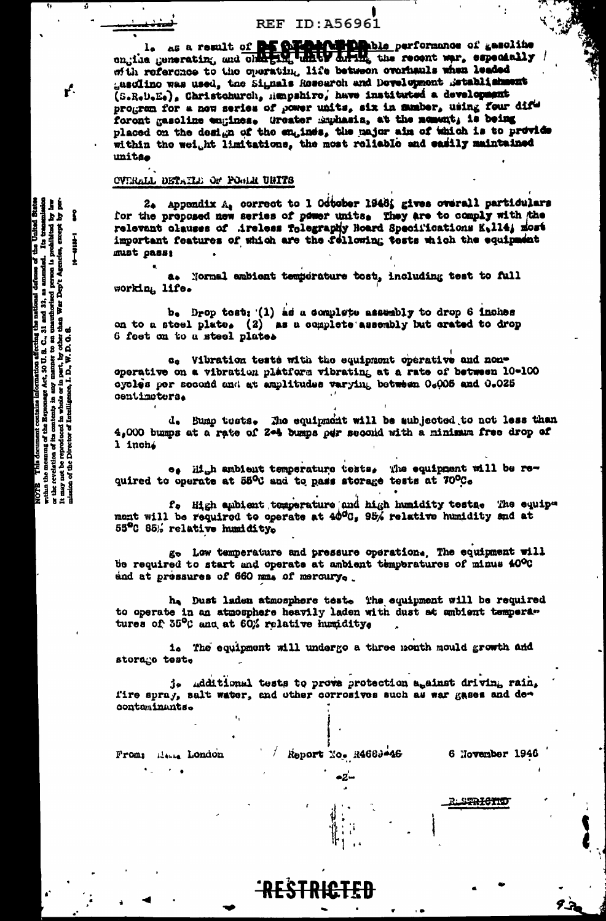# **REF ID:A56961**

l. as a result of the Community ble performance of gesoline ongine generating and charging unker during the recent war, especially / with reference to the operating life between overhauls when leaded gasdlino was used, the Signals Research and Development Betablishment (S.R.U.E.), Christohurch, Hanpshiro, have instituted a development program for a new series of power units, six in mumber, using four difforont gasoline engines. Greater Emmasis, at the nement, is being placed on the design of the engines, the major aim of which is to provide within the weight limitations, the most reliable and easily maintained unitas

#### OVERALL DETAILE OF POSIT UNITS

2. Appondix  $A_4$  correct to 1 Odtober 1948; gives overall particulars for the proposed new series of power units. They are to comply with the relevant clauses of Areless Tolegraphy Hoard Specifications K.114; most important features of which are the fellowing tests which the equipment must pass:

a. Normal ambient temperature tost, including test to full working, life.

b. Drop tost: (1) as a complete assumbly to drop 6 inches on to a stoel plate. (2) as a complete assembly but crated to drop 6 feet on to a steel plates

c. Vibration tests with the equipment operative and nonoperative on a vibration platform vibrating at a rate of between 10-100 oycles per second and at amplitudes varying between 0.005 and 0.025 centimoters.

d. Bump tests. The equipment will be subjected to not less than 4,000 bumps at a rate of 24 bumps per second with a minimum free drop of 1 inch.

e. High ambient temperature tests. The equipment will be required to operate at 55°C and to pass storage tests at 70°C.

f. High aubient temperature and high humidity tests. The equiparent will be required to operate at 40<sup>0</sup>0, 95% relative humidity and at 55°C 85% relative humidity.

go Low temperature and pressure operation. The equipment will be required to start and operate at ambient temperatures of minus 40°C and at pressures of 660 mm. of mercury.

he Dust laden atmosphere teste The equipment will be required to operate in an atmosphere heavily laden with dust at ambient temperatures of 35°C and at 60% relative humidity.

i. The equipment will undergo a three month mould growth and storage test.

j. Additional tests to prove protection against driving rain, fire spray, salt water, and other corrosives such as war gases and decontaminants.

From: Henry London

Report No. R4683-46

**RESTRICTEL** 

-2-

6 November 1946

rls<del>trictio</del>

**{}i** I effecting the national defense of the United I<br>1. S. C., 31 and 32, as amended. Its transmit<br>er to an unuthorized person is prohibited by<br>by other than War Dep't Agencies, encept by<br>V. D. G. S.  $\begin{array}{l} \hline \textbf{(rametion)}\\ \textbf{Act}, \textbf{50 U}, \textbf{t}\\ \textbf{y} \text{ moment} \\ \textbf{h} \textbf{net}, \textbf{by} \textbf{c}\\ \textbf{h} \textbf{net}, \textbf{by} \textbf{c}\\ \textbf{L.D.,}\textbf{W.D} \end{array}$ contains info<br>e Espanage J<br>mitenta in any<br>d in whole or contents ă  $5<sub>2</sub>$ n the memma c<br>: revelation of i<br>y not be reprod<br>xa of the Direct This docu  $\frac{1}{2}$  $min<sub>1</sub>$ 

ŕ.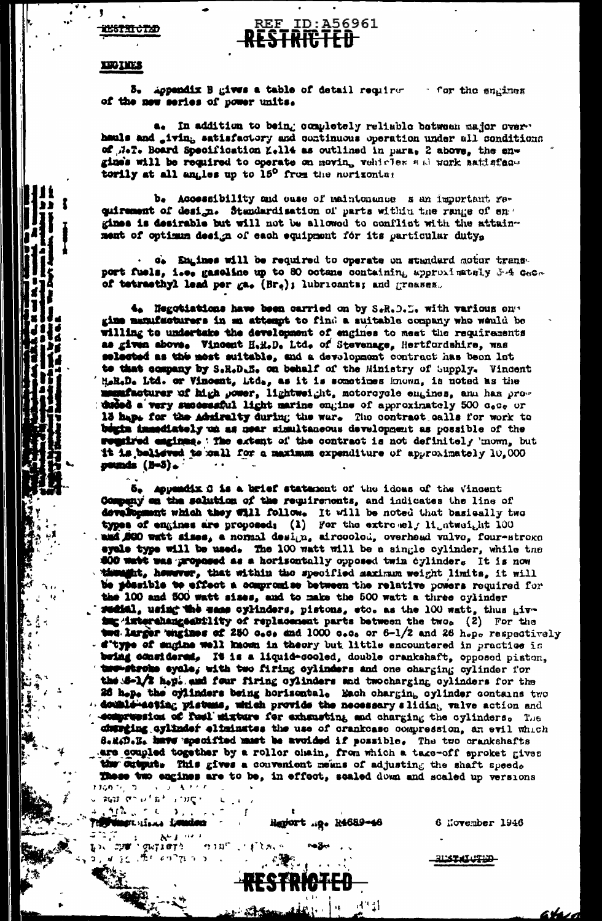# **TESTRICTED**

#### ID:A56961 REF lestkilitet

#### **EEGINES**

1

3. Appendix B gives a table of detail requirer for the sugines of the new series of power units.

a. In addition to being completely reliable between major over. hauls and iving satisfactory and continuous operation under all conditions of NeT. Board Specification K.114 as outlined in para, 2 above, the engines will be required to operate on moving vohicles and work satisfactorily at all angles up to 15° from the norizontal

b. Accessibility and ease of maintenance s an important requirement of design. Standardisation of parts within the range of en . gimes is desirable but will not be allowed to conflict with the attainment of optimum design of each equipment for its particular duty.

c. Engines will be required to operate on standard motor transport fuels, i.e. gaseline up to 80 octane containing approximately 3.4 CaCo of tetracthyl lead per  $ga_{\bullet}$  (Br<sub>e</sub>); lubricants; and greases.

4. Negotiations have been carried on by S.R.D. L. with various on" gime manufacturers in an attempt to find a suitable company who weuld be willing to undertake the development of engines to meet the requirements as given above. Vincent H.H.D. Ltd. of Stevenage, Hertfordshire, was selected as the most suitable, and a devolopment contract has been let to that company by S.R.D.E. on behalf of the Ministry of Supply. Vincent HeReDe Ltd. or Vincent, Ltde, as it is sometimes known, is noted as the memifacturer of high power, lightweight, motorcycle empines, and has pro-<br>duded a very successful light marine ongine of approximately 500 c.c. or 13 haps for the Admiralty during the war. The contract calls for work to bogin immediately un as near simultaneous development as possible of the regained engines. The extent of the contract is not definitely 'mown, but it is believed to sall for a maximum expenditure of approximately 10,000 pumds (B=5).

5. Appendix C is a brief statement of the idoes of the Vincent Compuny on the solution of the requirements, and indicates the line of development which they Will follow. It will be noted that basically two types of engines are proposed; (1) For the extremely ligatweight 100 and 000 watt sizes, a normal design, aircoolod, overhead valvo, four-stroke eyele type will be used, The 100 watt will be a single cylinder, while the **S00 watt was proposed as a horisontally opposed twin cylinder. It is now** thunght, however, that within the specified maximum weight limits, it will be possible to effect a compromise between the relative powers required for the 100 and 500 watt sises, and to make the 500 watt a three oylinder reciel, using the same cylinders, pistons, etc. as the 100 watt, thus givimg interehangeability of replacement parts between the two. (2) For the **14. Larger wagines of 250 c.c. and 1000 c.c. or 6-1/2 and 26 h.p. respectively** - d'type of sugine well known in theory but little encountered in practice is being cousidered, It is a liquid-cooled, double crankshaft, opposed piston, two stroke eyele, with two firing cylinders and one charging cylinder for the S-1/2 hept and four firing cylinders and twocharging cylinders for the 26 h.p. the cylinders being horisontal. Each charging cylinder contains two  $\alpha$  double-acting pistems, which provide the necessary sliding valve action and domerwesica of feel mixture for exhausting and charging the cylinders. The durring cylinder eliminates the use of crankcase compression, an evil which 8.1. D.K. have specified must be avoided if possible. The two crankshafts are coupled together by a roller chain, from which a take-off sproket gives the output. This gives a convenient means of adjusting the shaft speed. These two engines are to be, in effect, scaled down and scaled up versions  $1360.76$  ,  $200.33$  ,  $300.4$  ,  $400.6$ 

加强公司人  $\sum_{i=1}^{n}$ Telly dingst since it window

มารัส : พระเทศ<br>มารัส : พระเทศ :

**NESS RECOVERED** 

 $\mathbf{K} \in \mathbb{R}^n$ 

人名英戈西亚丹

 $\mathbf{r}$  and  $\mathbf{S}$ 

 $\sim$  and  $\alpha$  at  $\alpha$  and  $\alpha$ 

Regiort ...p. R4689-46

 $A^{\alpha}$ 

6 November 1946

ahaz

Rustalutud –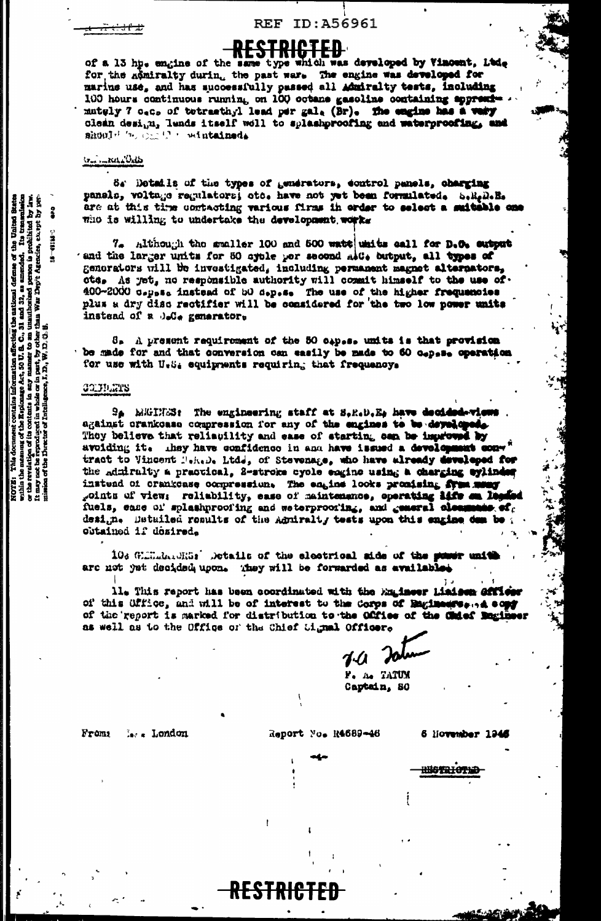# **REF ID:A56961**

# R<del>ESTRICTED</del>

of a 13 hp. engine of the same type which was developed by Vincent, Ltd. for the nomiralty during the past ware The engine was developed for marine use, and has successfully passed all Admiralty tests, including 100 hours continuous running on 100 octans gasoline containing appressmately 7 oec. of tetracthyl lead per gale (Br). The engine has a vary clean desi, n, lunds itself woll to splashproofing and waterproofing, and should be complete wintained.

## brain Kella Child

64' Details of the types of generators, control panels, charging panels, voltage regulators, etc. have not yet been formulated. S.R.D.E. are at this time contacting various firms in order to select a suitable on who is willing to undertake the development works

7. Although the smaller 100 and 500 watt whits call for D.O. output and the larger units for 50 syble per second alt. butput, all types of generators will be investigated, including permanent magnet alternators, ote. As yet, no responsible authority will commit himself to the use of. 400-2000 capasa instead of b0 depese The use of the higher frequencies plus a dry disc rectifier will be considered for the two low power units instead of a J.C. generator.

S<sub>a</sub> A present requirement of the 50 cap.s. units is that provision be made for and that conversion can easily be made to 60 cepsee operation for use with U.S. equipments requiring that frequency.

#### COLUMNS

 $\Theta_{\hat{P}}$  MiGINES: The engineering staff at S.R.D.E. have decide against crankcase compression for any of the engines to be developed. They believe that reliauility and ease of starting can be improved by avoiding it. they have confidence in and have issued a development contract to Vincent Tekele Ltde, of Stevenage, who have already developed for the admiralty a practical. 2-stroke cycle engine using a charging wylinder instend of crankcase compression. The engine looks promising from me points of view; reliability, ease of maintenance, operating life on De fuels, ease of splashproofing and weterproofing, and general cleanses of  $c$ design. Detailed results of the Agniralty tests upon this engine dem be a obtained if desired.

103 Glimina Miss' Details of the electrical side of the power uniare not yet decided upon. They will be forwarded as availables

RESTR

11. This report has been coordinated with the Engineer Liaison offic of this Office, and will be of interest to the Corps of Baginessen, a copy of the report is marked for distribution to the Office of the Chief Bagin as well as to the Office or the Chief Cignal Officer.

 $7\mu$ 

F. A. TATUM Captain, SO

Froms las a London Report No. R4689-46

6 liovember 19

RBOTRIOTE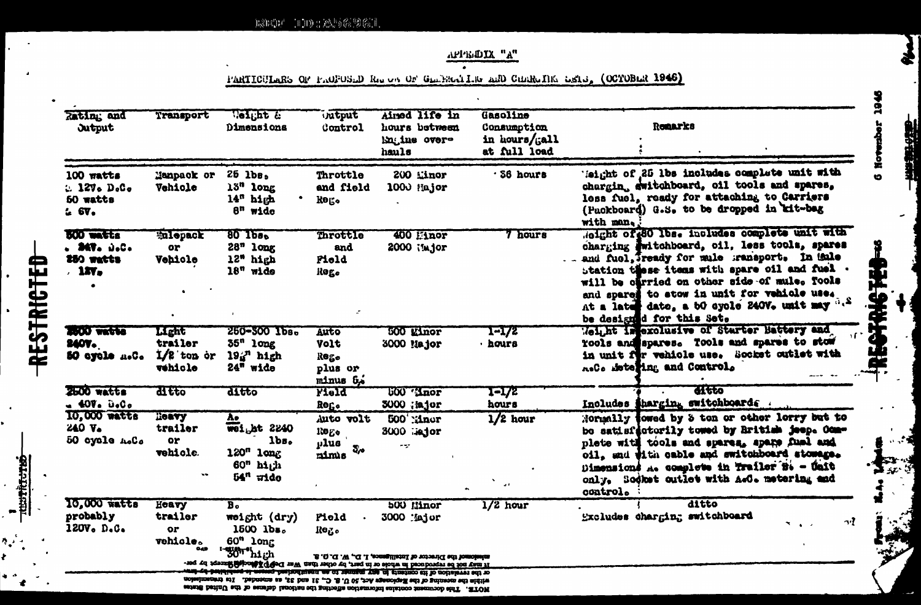APPE DIX "A"

1945

**G Now** 

乐事

电磁波

Б١

PARTICULARS OF PACEOSED Res on OF GENERAL IN AND CHERATIKE ESIS (OCTOBER 1946)

| Rating and<br><b>Jutput</b>                                            | Transport                                   | Weight &<br>Dimensiona                                                                                  | intput<br>Control                           | Airsed life in<br>hours between<br>Engine over-<br>hauls                                                                                                                                    | Gasoline<br>Consumption<br>in hours/ $\int$ all<br>at full load | <b>Remarks</b>                                                                                                                                                                                                                                                                                                                                                              |
|------------------------------------------------------------------------|---------------------------------------------|---------------------------------------------------------------------------------------------------------|---------------------------------------------|---------------------------------------------------------------------------------------------------------------------------------------------------------------------------------------------|-----------------------------------------------------------------|-----------------------------------------------------------------------------------------------------------------------------------------------------------------------------------------------------------------------------------------------------------------------------------------------------------------------------------------------------------------------------|
| 100 watts<br>:. 127. D. C.<br>50 watts<br>26V <sub>o</sub>             | Manpack or<br>Vehicle                       | $25$ $1b$ s,<br>13" long<br>14 <sup>n</sup> high<br>$8n$ wide                                           | Throttle<br>and field<br><b>Rego</b>        | 200 Linor<br>1000 Hajor                                                                                                                                                                     | · 56 hours                                                      | leight of 25 lbs includes complete unit with<br>chargin, switchboard, oil tools and spares.<br>less fuel, ready for attaching to Carriers<br>(Puckboard) G.S. to be dropped in kit-bag<br>with man.                                                                                                                                                                         |
| <b>BOO</b> watts<br><b>. 347.</b> D.C.<br>250 watts<br>.1 <sub>W</sub> | <b>Enlopack</b><br>or<br>Vehicle            | 80 1bs.<br>$28n$ long<br>12" high<br>$18n$ wide                                                         | Throttle<br>and<br>Pield<br>ilog.           | 400 Hnor<br>2000 Major                                                                                                                                                                      | 7 hours                                                         | dight of 80 lbs. includes complete unit with<br>charging Fuitchboard, cil, less tools, spares<br>and fuel, Tready for mule gransport. In this<br>station these items with spare oil and fuel.<br>will be offried on other side of mule. Tools<br>and spares to stow in unit for vehicle use.<br>At a later date, a 50 eyole 240V. unit may "."<br>be designed for this Set. |
| <b>2000 vactes</b><br>2407.<br>50 eyele n.C.                           | Light<br>trailer<br>$1/2$ ton or<br>vehicle | 250-300 Тьв.<br>$55n$ long<br>$19a$ <sup>n</sup> high<br>24" wide                                       | Auto<br>Volt<br>Rego<br>plus or<br>minus 6, | <b>500 Einor</b><br>3000 Major                                                                                                                                                              | 1-172<br>· hours                                                | Meliht imexclusive of Starter Hattery and<br>Tools and spares. Tools and spares to stow<br>in unit for vehicle use. Socket outlet with<br>A.C. Meteging and Control.                                                                                                                                                                                                        |
| 2500 watts<br>$-400.000$                                               | <b>H</b> efo                                | ditto                                                                                                   | Field<br>Roge                               | <b>500 Maor</b><br>3000 ; ajor                                                                                                                                                              | 1-172<br>hours                                                  | ditto<br>Includes tharging switchboards .                                                                                                                                                                                                                                                                                                                                   |
| 10,000 watts<br><b>240 V.</b><br>50 cycle A.C.                         | HORTY<br>trailer<br>or<br>vehicle.          | Λo<br>wei <sub>b</sub> ht 2240<br>1 <sub>bs</sub><br>120" long<br>60 <sup>n</sup><br>high<br>$54n$ wide | Auto volt<br>Re<br>plus<br>చెం<br>mimus     | <b>500 Minor</b><br>3000 :iejor<br>$\sim$                                                                                                                                                   | $1/2$ hour<br>$\alpha$ ).                                       | Normally fowed by 3 ton or other lorry but to<br>be satisfactorily towed by British jeep. Com-<br>plete with tools and spares, spare fuel and<br>oil, and with cable and switchboard stomage.<br>Dimensions A. complete in Trailer B. - Unit<br>only. Sodket outlet with A.C. metering and<br>control.                                                                      |
| 10,000 watts<br>probably<br>120V. D.C.                                 | Heavy<br>trailer<br>or<br>vehicle.<br>040   | $\overline{B_o}$<br>weight (dry)<br>1500 lbs.<br>$60n$ long<br>' "30" high                              | Piold<br>Reg.                               | <b>500 Minor</b><br>3000 Major<br>missioned the Director of Intelligence, I. D., W. D.O.G.<br>It may not be reproduced in whole or in part, by other than War DePP Affineightharept by per- | $1/2$ hour                                                      | ditto<br>Excludes charging switchboard                                                                                                                                                                                                                                                                                                                                      |

**RESTRICTED** 

**Extracted**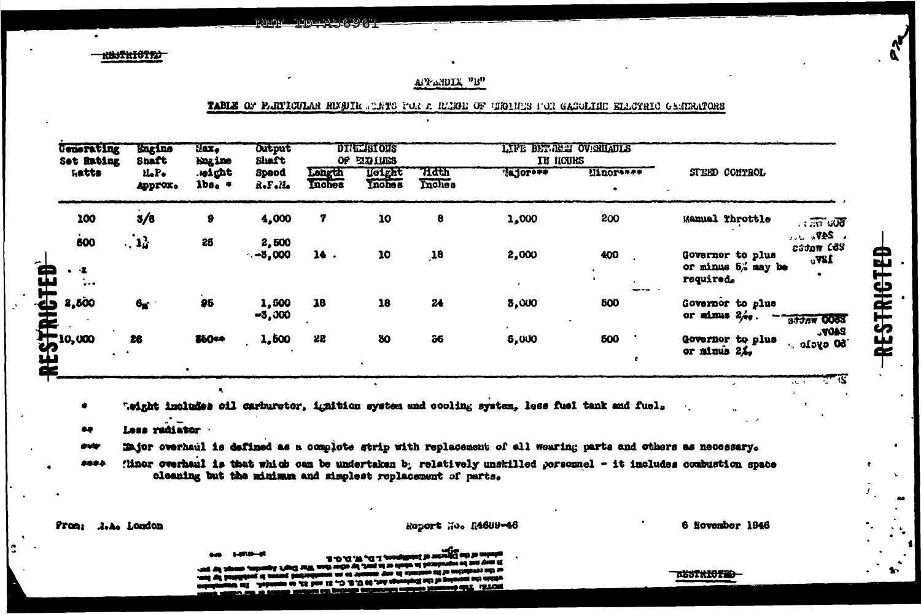**RISTRICTIO** 

# **APPENDIX "B"**

#### TABLE OF PARTICULAR RIGUIR STRYS FOR A REGGE OF GEORGE SON GASOLINE ELECTRIC GENERATORS

| <b>Generating</b><br>Set Rating<br>hatts                         | kngine<br>Snaft            | Hax.<br><b>Engine</b> | Output<br>Shaft   | <b>DIREMBIONS</b><br><b>EXPITES</b><br>0f |                                |                  | LIFE BETTEEN OVERHAULS<br>IN HOURS |            |                                                                                         |
|------------------------------------------------------------------|----------------------------|-----------------------|-------------------|-------------------------------------------|--------------------------------|------------------|------------------------------------|------------|-----------------------------------------------------------------------------------------|
|                                                                  | iLP.<br>Approx.            | .ieight<br>$1b$ s.    | Spood<br>Rof olde | Length<br>Inches                          | <b>Height</b><br><b>Inches</b> | 71 dth<br>Inches | Tajor***                           | Uinor****  | STEED CONTROL                                                                           |
| 100                                                              | 3/8                        | $\bullet$             | 4,000             | 7                                         | 10                             | 8                | 1,000                              | 200        | Manual Throttle<br>$\overline{50}$ u $\overline{37}$ u $\overline{37}$                  |
| 500<br>$\bullet$ $\cdot\bullet$<br>$\frac{1}{2}$ , $\frac{1}{2}$ | $\cdot$ , $1_{\alpha}^{3}$ | 25                    | 2,500<br>$-8,000$ | 14.                                       | 10                             | $\mathbf{18}$    | 2,000                              | 400        | $\sim$ 247.<br>253 wates<br>Governor to plus<br>18Vc<br>or minus 5% may be<br>required. |
| 2,500                                                            | 6 <sub>g</sub>             | 95                    | 1,500<br>$-3,000$ | 18                                        | 18                             | 24               | 8,000                              | 500        | Governor to plus<br>or minus $2/2$ .<br>addaw 000S                                      |
| $\int_{0}^{10,000}$                                              | 26                         | 860**                 | 1,500             | 22                                        | 30                             | 36               | 5,000                              | <b>600</b> | 340P <sub>o</sub><br>Governor to plus<br>$50$ oycle $\cdot$<br>or minus $2\lambda$ .    |

".eight includes oil carburetor, ignition system and cooling system, less fuel tank and fuel.

 $\bullet$ 

<u>كەنگەنگەنلەتلىق تەركەتلەر ئورى ئۆزلەرنى ئ</u>

Less radiator 24

 $\bullet$ 

Major overhaul is defined as a complete strip with replacement of all wearing parts and others as necessary. ava

'liner overhaul is that which can be undertaken b; relatively unskilled personnel - it includes combustion space 4884 cleaning but the minimum and simplest replacement of parts.

**Prons A.A. London**  Report No. R4689-46

6 November 1946

۵Ć.

RESTRICTED

 $\mathbf{v}$ 

 $\bullet\bullet$ 

**TASSTRIOTE**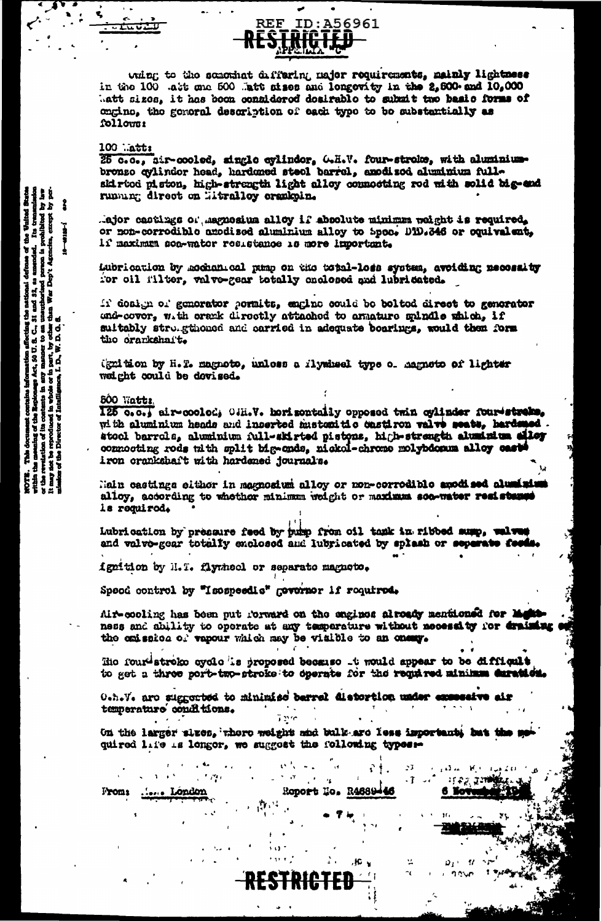

what to the sensinat differing najor requirements, mainly lightness in the 100 .att one 500 .att atses and longevity in the 2,600 and 10,000 batt sizes, it has been connidered desirable to submit two basic forms of ongino, the general description of each type to be substantially as follows:

#### $100$  .att:

ರಮು

25 c.o., hir-cooled, single cylinder, G.H.V. four-stroke, with aluminum-bronze cylinder head, hardened steel barrel, anodised aluminum fullskirtod piston, high-strength light alloy connocting rod with solid big-end running direct on Hitralloy crankpin.

.ajor castings of asguesium alloy if absolute minimum weight is required. or non-corrodible anodised aluminium alloy to Spec. D1D.346 or equivalent, if maximum son-water resistance is more important.

Lubrication by mochanical pump on the total-loss system, avoiding necessity for oil filter, valve-gear totally enclosed and lubricated.

It dosign of generator pormits, engine could be belted direct to generator und-cover, with erank directly attached to amature spindle which, if suitably struggthoned and carried in adequate boarings, would then form the crarkshaft.

(gnition by H.T. magnoto, unless a flywheel type of aagnoto of lighter weight could be dovised.

### 500 Watts.

125 0.0., air-coolod, O.H.V. horizontally opposed twin cylinder four-streke, with aluminium heads and inserted mustemitic castiron valve seats, hardseed. stool barrols, aluminium full-skirted pistons, high-strength aluminium alloy connocting rods thith split big-onds, nickel-chrone molybicoum alloy casts iron crankshaft with hardened journals.

Nain castings elther in magnosium alloy or non-corrodible anodised aluminis alloy, according to whother minimum weight or maximum son-water resistance ls requirod.

Lubrication by pressure feed by pubp from oil tank in ribbed sump, welwest and valve-gear totally enclosed and lubricated by splash or separate feeds

ignition by H.T. flywheel or separate magneto.

Speed control by "Isospeedic" governor if required.

Air-cooling has been put rorward on the engines alroady mentioned for M ness and ability to operate at any temperature without necessity for draining the emission of vapour which may be visible to an onesy.

Hio four-stroke eyele is proposed because to would appear to be difficult to get a three port-two-stroke to operate for the required minimum duration.

OtheVe are suggested to minimize barrel distortion under exceedive air temperature conditions.

 $\mathbf{v}_i$  ,  $\mathbf{v}_i$ 

<del>STRICTI</del>

On the larger sluce, there weight and bulk are less important, but the m quired life is longer, we suggest the following types :-

 $\mathcal{L}^{\text{eff}}=\mathcal{R}^{\text{eff}}$ 

..... London From:

 $\mathbf{r}$ 

53

 $\cdot$  T

盆

المكفورة

£.

6 Kot

ាស្រុក ក្នុងឆ្នាំ

47

 $\hat{\mathbf{r}}$  .

 $\mathbf{r}$ 

.jc. y